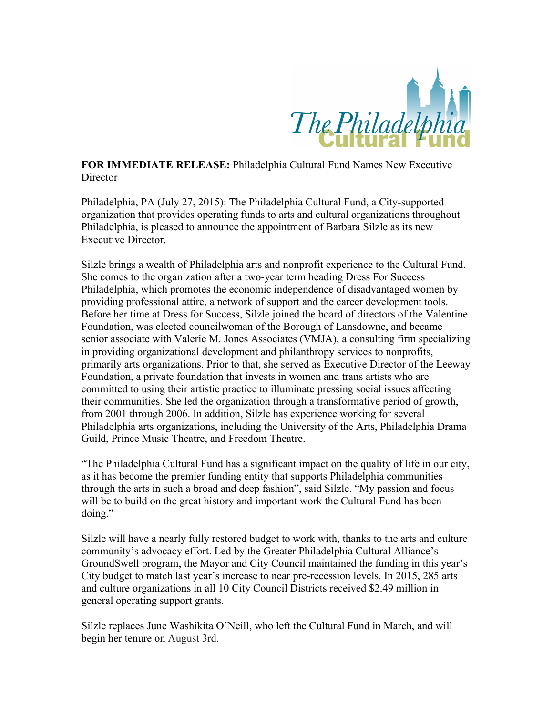

**FOR IMMEDIATE RELEASE:** Philadelphia Cultural Fund Names New Executive **Director** 

Philadelphia, PA (July 27, 2015): The Philadelphia Cultural Fund, a City-supported organization that provides operating funds to arts and cultural organizations throughout Philadelphia, is pleased to announce the appointment of Barbara Silzle as its new Executive Director.

Silzle brings a wealth of Philadelphia arts and nonprofit experience to the Cultural Fund. She comes to the organization after a two-year term heading Dress For Success Philadelphia, which promotes the economic independence of disadvantaged women by providing professional attire, a network of support and the career development tools. Before her time at Dress for Success, Silzle joined the board of directors of the Valentine Foundation, was elected councilwoman of the Borough of Lansdowne, and became senior associate with Valerie M. Jones Associates (VMJA), a consulting firm specializing in providing organizational development and philanthropy services to nonprofits, primarily arts organizations. Prior to that, she served as Executive Director of the Leeway Foundation, a private foundation that invests in women and trans artists who are committed to using their artistic practice to illuminate pressing social issues affecting their communities. She led the organization through a transformative period of growth, from 2001 through 2006. In addition, Silzle has experience working for several Philadelphia arts organizations, including the University of the Arts, Philadelphia Drama Guild, Prince Music Theatre, and Freedom Theatre.

"The Philadelphia Cultural Fund has a significant impact on the quality of life in our city, as it has become the premier funding entity that supports Philadelphia communities through the arts in such a broad and deep fashion", said Silzle. "My passion and focus will be to build on the great history and important work the Cultural Fund has been doing."

Silzle will have a nearly fully restored budget to work with, thanks to the arts and culture community's advocacy effort. Led by the Greater Philadelphia Cultural Alliance's GroundSwell program, the Mayor and City Council maintained the funding in this year's City budget to match last year's increase to near pre-recession levels. In 2015, 285 arts and culture organizations in all 10 City Council Districts received \$2.49 million in general operating support grants.

Silzle replaces June Washikita O'Neill, who left the Cultural Fund in March, and will begin her tenure on August 3rd.